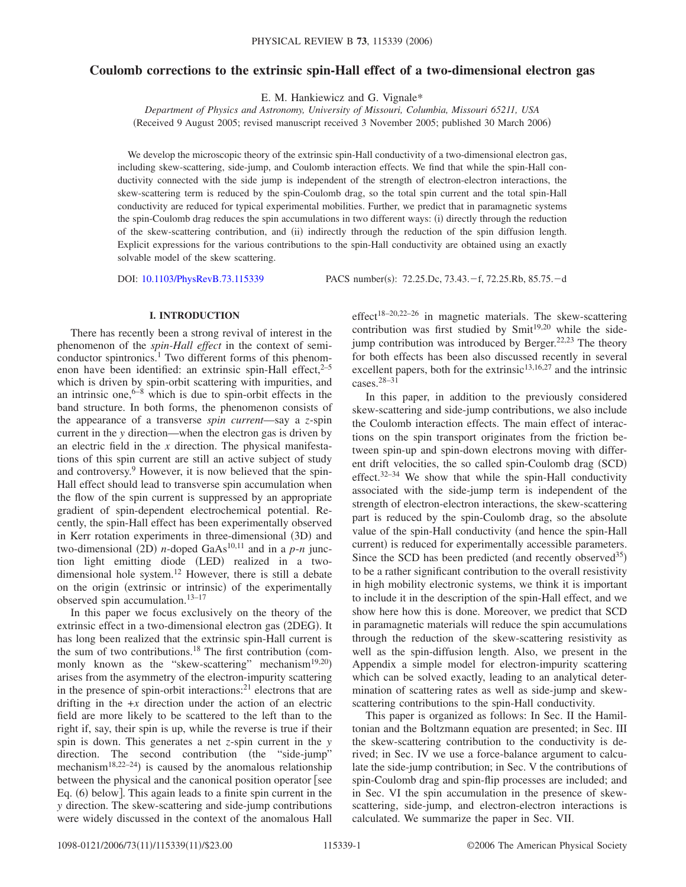# **Coulomb corrections to the extrinsic spin-Hall effect of a two-dimensional electron gas**

E. M. Hankiewicz and G. Vignale\*

*Department of Physics and Astronomy, University of Missouri, Columbia, Missouri 65211, USA* (Received 9 August 2005; revised manuscript received 3 November 2005; published 30 March 2006)

We develop the microscopic theory of the extrinsic spin-Hall conductivity of a two-dimensional electron gas, including skew-scattering, side-jump, and Coulomb interaction effects. We find that while the spin-Hall conductivity connected with the side jump is independent of the strength of electron-electron interactions, the skew-scattering term is reduced by the spin-Coulomb drag, so the total spin current and the total spin-Hall conductivity are reduced for typical experimental mobilities. Further, we predict that in paramagnetic systems the spin-Coulomb drag reduces the spin accumulations in two different ways: (i) directly through the reduction of the skew-scattering contribution, and (ii) indirectly through the reduction of the spin diffusion length. Explicit expressions for the various contributions to the spin-Hall conductivity are obtained using an exactly solvable model of the skew scattering.

DOI: [10.1103/PhysRevB.73.115339](http://dx.doi.org/10.1103/PhysRevB.73.115339)

PACS number(s): 72.25.Dc, 73.43.f, 72.25.Rb, 85.75.d

### **I. INTRODUCTION**

There has recently been a strong revival of interest in the phenomenon of the *spin-Hall effect* in the context of semiconductor spintronics.<sup>1</sup> Two different forms of this phenomenon have been identified: an extrinsic spin-Hall effect, $2-5$ which is driven by spin-orbit scattering with impurities, and an intrinsic one, $6-8$  which is due to spin-orbit effects in the band structure. In both forms, the phenomenon consists of the appearance of a transverse *spin current*—say a *z*-spin current in the *y* direction—when the electron gas is driven by an electric field in the *x* direction. The physical manifestations of this spin current are still an active subject of study and controversy.9 However, it is now believed that the spin-Hall effect should lead to transverse spin accumulation when the flow of the spin current is suppressed by an appropriate gradient of spin-dependent electrochemical potential. Recently, the spin-Hall effect has been experimentally observed in Kerr rotation experiments in three-dimensional (3D) and two-dimensional (2D) *n*-doped GaAs<sup>10,11</sup> and in a  $p$ -*n* junction light emitting diode (LED) realized in a twodimensional hole system.12 However, there is still a debate on the origin (extrinsic or intrinsic) of the experimentally observed spin accumulation.13–17

In this paper we focus exclusively on the theory of the extrinsic effect in a two-dimensional electron gas (2DEG). It has long been realized that the extrinsic spin-Hall current is the sum of two contributions.<sup>18</sup> The first contribution (commonly known as the "skew-scattering" mechanism<sup>19,20</sup>) arises from the asymmetry of the electron-impurity scattering in the presence of spin-orbit interactions: $2<sup>1</sup>$  electrons that are drifting in the  $+x$  direction under the action of an electric field are more likely to be scattered to the left than to the right if, say, their spin is up, while the reverse is true if their spin is down. This generates a net *z*-spin current in the *y* direction. The second contribution (the "side-jump" mechanism<sup>18,22-24</sup>) is caused by the anomalous relationship between the physical and the canonical position operator see Eq. (6) below]. This again leads to a finite spin current in the *y* direction. The skew-scattering and side-jump contributions were widely discussed in the context of the anomalous Hall effect<sup>18–20,22–26</sup> in magnetic materials. The skew-scattering contribution was first studied by  $Smith^{19,20}$  while the sidejump contribution was introduced by Berger.<sup>22,23</sup> The theory for both effects has been also discussed recently in several excellent papers, both for the extrinsic<sup>13,16,27</sup> and the intrinsic cases.28–31

In this paper, in addition to the previously considered skew-scattering and side-jump contributions, we also include the Coulomb interaction effects. The main effect of interactions on the spin transport originates from the friction between spin-up and spin-down electrons moving with different drift velocities, the so called spin-Coulomb drag (SCD) effect. $32-34$  We show that while the spin-Hall conductivity associated with the side-jump term is independent of the strength of electron-electron interactions, the skew-scattering part is reduced by the spin-Coulomb drag, so the absolute value of the spin-Hall conductivity (and hence the spin-Hall current) is reduced for experimentally accessible parameters. Since the SCD has been predicted (and recently observed $35$ ) to be a rather significant contribution to the overall resistivity in high mobility electronic systems, we think it is important to include it in the description of the spin-Hall effect, and we show here how this is done. Moreover, we predict that SCD in paramagnetic materials will reduce the spin accumulations through the reduction of the skew-scattering resistivity as well as the spin-diffusion length. Also, we present in the Appendix a simple model for electron-impurity scattering which can be solved exactly, leading to an analytical determination of scattering rates as well as side-jump and skewscattering contributions to the spin-Hall conductivity.

This paper is organized as follows: In Sec. II the Hamiltonian and the Boltzmann equation are presented; in Sec. III the skew-scattering contribution to the conductivity is derived; in Sec. IV we use a force-balance argument to calculate the side-jump contribution; in Sec. V the contributions of spin-Coulomb drag and spin-flip processes are included; and in Sec. VI the spin accumulation in the presence of skewscattering, side-jump, and electron-electron interactions is calculated. We summarize the paper in Sec. VII.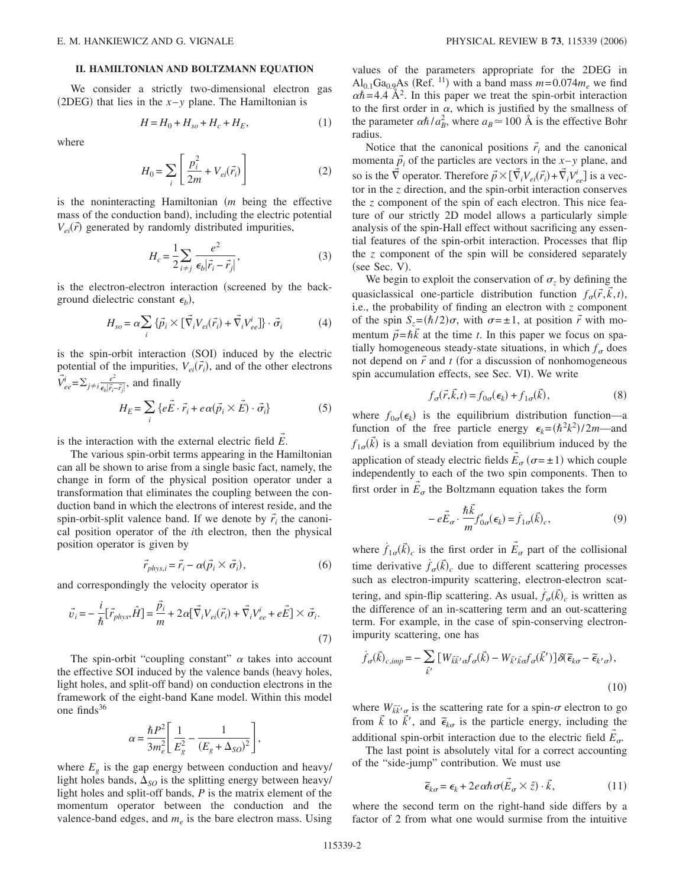## **II. HAMILTONIAN AND BOLTZMANN EQUATION**

We consider a strictly two-dimensional electron gas (2DEG) that lies in the  $x$ –*y* plane. The Hamiltonian is

$$
H = H_0 + H_{so} + H_c + H_E, \tag{1}
$$

where

$$
H_0 = \sum_i \left[ \frac{p_i^2}{2m} + V_{ei}(\vec{r}_i) \right]
$$
 (2)

is the noninteracting Hamiltonian (*m* being the effective mass of the conduction band), including the electric potential  $V_{ei}(\vec{r})$  generated by randomly distributed impurities,

$$
H_c = \frac{1}{2} \sum_{i \neq j} \frac{e^2}{\epsilon_b |\vec{r}_i - \vec{r}_j|},
$$
 (3)

is the electron-electron interaction (screened by the background dielectric constant  $\epsilon_b$ ),

$$
H_{so} = \alpha \sum_{i} \{ \vec{p}_i \times [\vec{\nabla}_i V_{ei}(\vec{r}_i) + \vec{\nabla}_i V_{ee}^i] \} \cdot \vec{\sigma}_i
$$
 (4)

is the spin-orbit interaction (SOI) induced by the electric potential of the impurities,  $V_{ei}(\vec{r}_i)$ , and of the other electrons  $\vec{V}_{ee}^i = \sum_{j \neq i} \frac{e^2}{\epsilon_b |\vec{r}_i - \vec{r}_j|}$ , and finally

$$
H_E = \sum_i \{e\vec{E} \cdot \vec{r}_i + e\alpha(\vec{p}_i \times \vec{E}) \cdot \vec{\sigma}_i\}
$$
 (5)

→

is the interaction with the external electric field *E* .

The various spin-orbit terms appearing in the Hamiltonian can all be shown to arise from a single basic fact, namely, the change in form of the physical position operator under a transformation that eliminates the coupling between the conduction band in which the electrons of interest reside, and the spin-orbit-split valence band. If we denote by  $\vec{r}_i$  the canonical position operator of the *i*th electron, then the physical position operator is given by

$$
\vec{r}_{phys,i} = \vec{r}_i - \alpha(\vec{p}_i \times \vec{\sigma}_i),\tag{6}
$$

and correspondingly the velocity operator is

$$
\vec{v}_i = -\frac{i}{\hbar} [\vec{r}_{phys}, \hat{H}] = \frac{\vec{p}_i}{m} + 2\alpha [\vec{\nabla}_i V_{ei}(\vec{r}_i) + \vec{\nabla}_i V_{ee}^i + e\vec{E}] \times \vec{\sigma}_i.
$$
\n(7)

The spin-orbit "coupling constant"  $\alpha$  takes into account the effective SOI induced by the valence bands (heavy holes, light holes, and split-off band) on conduction electrons in the framework of the eight-band Kane model. Within this model one finds $36$ 

$$
\alpha = \frac{\hbar P^2}{3m_e^2} \left[ \frac{1}{E_g^2} - \frac{1}{(E_g + \Delta_{SO})^2} \right],
$$

where  $E_g$  is the gap energy between conduction and heavy/ light holes bands,  $\Delta_{SO}$  is the splitting energy between heavy/ light holes and split-off bands, *P* is the matrix element of the momentum operator between the conduction and the valence-band edges, and  $m_e$  is the bare electron mass. Using

values of the parameters appropriate for the 2DEG in  $Al_{0.1}Ga_{0.9}As$  (Ref. <sup>11</sup>) with a band mass  $m = 0.074m_e$  we find  $\alpha \hbar = 4.4 \text{ Å}^2$ . In this paper we treat the spin-orbit interaction to the first order in  $\alpha$ , which is justified by the smallness of the parameter  $\alpha \hbar / a_B^2$ , where  $a_B \approx 100 \text{ Å}$  is the effective Bohr radius.

Notice that the canonical positions  $\vec{r}_i$  and the canonical momenta  $\vec{p}_i$  of the particles are vectors in the *x*-*y* plane, and so is the  $\vec{\nabla}$  operator. Therefore  $\vec{p} \times [\vec{\nabla}_i V_{ei}(\vec{r}_i) + \vec{\nabla}_i V_{ee}^i]$  is a vector in the *z* direction, and the spin-orbit interaction conserves the *z* component of the spin of each electron. This nice feature of our strictly 2D model allows a particularly simple analysis of the spin-Hall effect without sacrificing any essential features of the spin-orbit interaction. Processes that flip the *z* component of the spin will be considered separately (see Sec. V).

We begin to exploit the conservation of  $\sigma_z$  by defining the quasiclassical one-particle distribution function  $f_{\sigma}(\vec{r}, \vec{k}, t)$ , i.e., the probability of finding an electron with *z* component of the spin  $S_z = (\hbar/2)\sigma$ , with  $\sigma = \pm 1$ , at position  $\vec{r}$  with momentum  $\vec{p} = \hbar \vec{k}$  at the time *t*. In this paper we focus on spatially homogeneous steady-state situations, in which  $f_{\sigma}$  does not depend on  $\vec{r}$  and  $t$  (for a discussion of nonhomogeneous spin accumulation effects, see Sec. VI). We write

$$
f_{\sigma}(\vec{r}, \vec{k}, t) = f_{0\sigma}(\epsilon_k) + f_{1\sigma}(\vec{k}), \qquad (8)
$$

where  $f_{0\sigma}(\epsilon_k)$  is the equilibrium distribution function—a function of the free particle energy  $\epsilon_k = (\hbar^2 k^2)/2m$ —and  $f_{1\sigma}(\vec{k})$  is a small deviation from equilibrium induced by the application of steady electric fields  $\vec{E}_{\sigma}$  ( $\sigma = \pm 1$ ) which couple independently to each of the two spin components. Then to first order in  $\vec{E}_{\sigma}$  the Boltzmann equation takes the form

$$
-e\vec{E}_{\sigma}\cdot\frac{\hbar\vec{k}}{m}f'_{0\sigma}(\epsilon_{k})=\dot{f}_{1\sigma}(\vec{k})_{c},
$$
\n(9)

where  $f_{1\sigma}(\vec{k})_c$  is the first order in  $\vec{E}_{\sigma}$  part of the collisional time derivative  $\dot{f}_\sigma(\vec{k})_c$  due to different scattering processes such as electron-impurity scattering, electron-electron scattering, and spin-flip scattering. As usual,  $\dot{f}_{\sigma}(\vec{k})_c$  is written as the difference of an in-scattering term and an out-scattering term. For example, in the case of spin-conserving electronimpurity scattering, one has

$$
\dot{f}_{\sigma}(\vec{k})_{c,imp} = -\sum_{\vec{k}'} \left[ W_{\vec{k}\vec{k}'} \sigma f_{\sigma}(\vec{k}) - W_{\vec{k}'} \tilde{k} \sigma f_{\sigma}(\vec{k}') \right] \delta(\tilde{\epsilon}_{k\sigma} - \tilde{\epsilon}_{k'\sigma}),
$$
\n(10)

where  $W_{\vec{k}}\vec{k'}_{\sigma}$  is the scattering rate for a spin- $\sigma$  electron to go from  $\vec{k}$  to  $\vec{k'}$ , and  $\tilde{\epsilon}_{k\sigma}$  is the particle energy, including the additional spin-orbit interaction due to the electric field  $\vec{E}_{\sigma}$ .

The last point is absolutely vital for a correct accounting of the "side-jump" contribution. We must use

$$
\tilde{\epsilon}_{k\sigma} = \epsilon_k + 2e\alpha\hbar\sigma(\vec{E}_{\sigma} \times \hat{z}) \cdot \vec{k},
$$
\n(11)

where the second term on the right-hand side differs by a factor of 2 from what one would surmise from the intuitive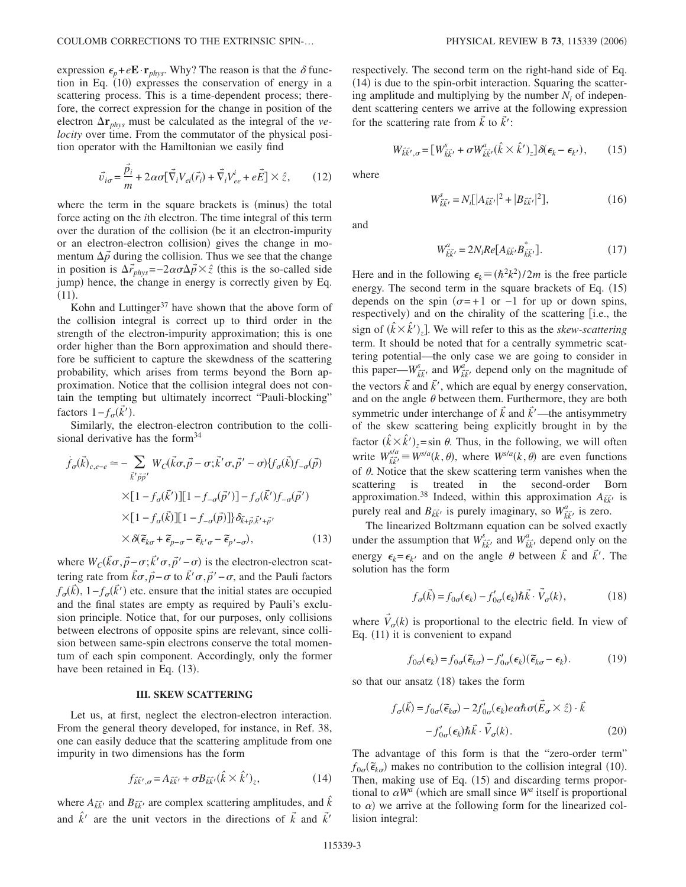expression  $\epsilon_p + e\mathbf{E} \cdot \mathbf{r}_{phys}$ . Why? The reason is that the  $\delta$  function in Eq. (10) expresses the conservation of energy in a scattering process. This is a time-dependent process; therefore, the correct expression for the change in position of the electron  $\Delta r_{phys}$  must be calculated as the integral of the *velocity* over time. From the commutator of the physical position operator with the Hamiltonian we easily find

$$
\vec{v}_{i\sigma} = \frac{\vec{p}_i}{m} + 2\alpha\sigma[\vec{\nabla}_i V_{ei}(\vec{r}_i) + \vec{\nabla}_i V_{ee}^i + e\vec{E}] \times \hat{z},\qquad(12)
$$

where the term in the square brackets is (minus) the total force acting on the *i*th electron. The time integral of this term over the duration of the collision (be it an electron-impurity or an electron-electron collision) gives the change in momentum  $\Delta \vec{p}$  during the collision. Thus we see that the change in position is  $\Delta \vec{r}_{phys}$ =−2 $\alpha \sigma \Delta \vec{p} \times \hat{z}$  (this is the so-called side jump) hence, the change in energy is correctly given by Eq.  $(11).$ 

Kohn and Luttinger $37$  have shown that the above form of the collision integral is correct up to third order in the strength of the electron-impurity approximation; this is one order higher than the Born approximation and should therefore be sufficient to capture the skewdness of the scattering probability, which arises from terms beyond the Born approximation. Notice that the collision integral does not contain the tempting but ultimately incorrect "Pauli-blocking" factors  $1 - f_{\sigma}(\vec{k}')$ .

Similarly, the electron-electron contribution to the collisional derivative has the form $34$ 

$$
\dot{f}_{\sigma}(\vec{k})_{c,e-e} \simeq -\sum_{\vec{k}'\vec{p}\vec{p}'} W_{C}(\vec{k}\sigma,\vec{p}-\sigma;\vec{k}'\sigma,\vec{p}'-\sigma)\{f_{\sigma}(\vec{k})f_{-\sigma}(\vec{p})\}\n\times [1 - f_{\sigma}(\vec{k}')][1 - f_{-\sigma}(\vec{p}')] - f_{\sigma}(\vec{k}')f_{-\sigma}(\vec{p}')\n\times [1 - f_{\sigma}(\vec{k})][1 - f_{-\sigma}(\vec{p})]\}\delta_{\vec{k}+\vec{p},\vec{k}'+\vec{p}'}\n\times \delta(\tilde{\epsilon}_{k\sigma} + \tilde{\epsilon}_{p-\sigma} - \tilde{\epsilon}_{k'\sigma} - \tilde{\epsilon}_{p'-\sigma}),
$$
\n(13)

where  $W_C(\vec{k}\sigma, \vec{p}-\sigma; \vec{k}'\sigma, \vec{p}'-\sigma)$  is the electron-electron scattering rate from  $\vec{k}\sigma$ ,  $\vec{p}$  −  $\sigma$  to  $\vec{k}'\sigma$ ,  $\vec{p}'$  −  $\sigma$ , and the Pauli factors  $f_{\sigma}(\vec{k})$ ,  $1 - f_{\sigma}(\vec{k}')$  etc. ensure that the initial states are occupied and the final states are empty as required by Pauli's exclusion principle. Notice that, for our purposes, only collisions between electrons of opposite spins are relevant, since collision between same-spin electrons conserve the total momentum of each spin component. Accordingly, only the former have been retained in Eq. (13).

## **III. SKEW SCATTERING**

Let us, at first, neglect the electron-electron interaction. From the general theory developed, for instance, in Ref. 38, one can easily deduce that the scattering amplitude from one impurity in two dimensions has the form

$$
f_{\vec{k}\vec{k}',\sigma} = A_{\vec{k}\vec{k}'} + \sigma B_{\vec{k}\vec{k}'} (\hat{k} \times \hat{k}')_z,\tag{14}
$$

where  $A_{\vec{k}\vec{k'}}$  and  $B_{\vec{k}\vec{k'}}$  are complex scattering amplitudes, and  $\hat{k}$ and  $\hat{k}'$  are the unit vectors in the directions of  $\vec{k}$  and  $\vec{k}'$  respectively. The second term on the right-hand side of Eq. (14) is due to the spin-orbit interaction. Squaring the scattering amplitude and multiplying by the number  $N_i$  of independent scattering centers we arrive at the following expression for the scattering rate from  $\vec{k}$  to  $\vec{k}'$ :

$$
W_{\vec{k}\vec{k}',\sigma} = \left[W_{\vec{k}\vec{k}'}^{s} + \sigma W_{\vec{k}\vec{k}'}^{a} (\hat{k} \times \hat{k}')_{z}\right] \delta(\epsilon_{k} - \epsilon_{k'}),\qquad(15)
$$

where

$$
W_{\vec{k}\vec{k'}}^s = N_i \left[ |A_{\vec{k}\vec{k'}}|^2 + |B_{\vec{k}\vec{k'}}|^2 \right],\tag{16}
$$

and

$$
W_{\vec{k}\vec{k'}}^a = 2N_i Re[A_{\vec{k}\vec{k'}} B_{\vec{k}\vec{k'}}^*].
$$
 (17)

Here and in the following  $\epsilon_k = (\hbar^2 k^2)/2m$  is the free particle energy. The second term in the square brackets of Eq. (15) depends on the spin  $(\sigma = +1 \text{ or } -1 \text{ for up or down spins})$ , respectively) and on the chirality of the scattering [i.e., the sign of  $(\hat{k} \times \hat{k}')_z$ ]. We will refer to this as the *skew-scattering* term. It should be noted that for a centrally symmetric scattering potential—the only case we are going to consider in this paper— $W_{\vec{k}\vec{k'}}^s$  and  $W_{\vec{k}\vec{k'}}^a$  depend only on the magnitude of the vectors  $\vec{k}$  and  $\vec{k}'$ , which are equal by energy conservation, and on the angle  $\theta$  between them. Furthermore, they are both symmetric under interchange of  $\vec{k}$  and  $\vec{k'}$ —the antisymmetry of the skew scattering being explicitly brought in by the factor  $(\hat{k} \times \hat{k}')_z = \sin \theta$ . Thus, in the following, we will often write  $W_{\vec{k}\vec{k'}}^{s/a} \equiv W^{s/a}(k, \theta)$ , where  $W^{s/a}(k, \theta)$  are even functions of  $\theta$ . Notice that the skew scattering term vanishes when the scattering is treated in the second-order Born approximation.<sup>38</sup> Indeed, within this approximation  $A_{\vec{k}}\vec{k}}$  is purely real and  $B_{kk'}$  is purely imaginary, so  $W_{kk'}^a$  is zero.

The linearized Boltzmann equation can be solved exactly under the assumption that  $W_{\vec{k}\vec{k'}}^s$  and  $W_{\vec{k}\vec{k'}}^a$  depend only on the energy  $\epsilon_k = \epsilon_{k'}$  and on the angle  $\theta$  between  $\vec{k}$  and  $\vec{k'}$ . The solution has the form

$$
f_{\sigma}(\vec{k}) = f_{0\sigma}(\epsilon_k) - f'_{0\sigma}(\epsilon_k) \hbar \vec{k} \cdot \vec{V}_{\sigma}(k), \qquad (18)
$$

where  $\vec{V}_{\sigma}(k)$  is proportional to the electric field. In view of Eq.  $(11)$  it is convenient to expand

$$
f_{0\sigma}(\epsilon_k) = f_{0\sigma}(\tilde{\epsilon}_{k\sigma}) - f'_{0\sigma}(\epsilon_k)(\tilde{\epsilon}_{k\sigma} - \epsilon_k).
$$
 (19)

so that our ansatz (18) takes the form

$$
f_{\sigma}(\vec{k}) = f_{0\sigma}(\tilde{\epsilon}_{k\sigma}) - 2f'_{0\sigma}(\epsilon_k)e\alpha\hbar\sigma(\tilde{E}_{\sigma} \times \hat{z}) \cdot \vec{k} - f'_{0\sigma}(\epsilon_k)\hbar\vec{k} \cdot \vec{V}_{\sigma}(k).
$$
 (20)

The advantage of this form is that the "zero-order term"  $f_{0\sigma}(\tilde{\epsilon}_{k\sigma})$  makes no contribution to the collision integral (10). Then, making use of Eq. (15) and discarding terms proportional to  $\alpha W^a$  (which are small since  $W^a$  itself is proportional to  $\alpha$ ) we arrive at the following form for the linearized collision integral: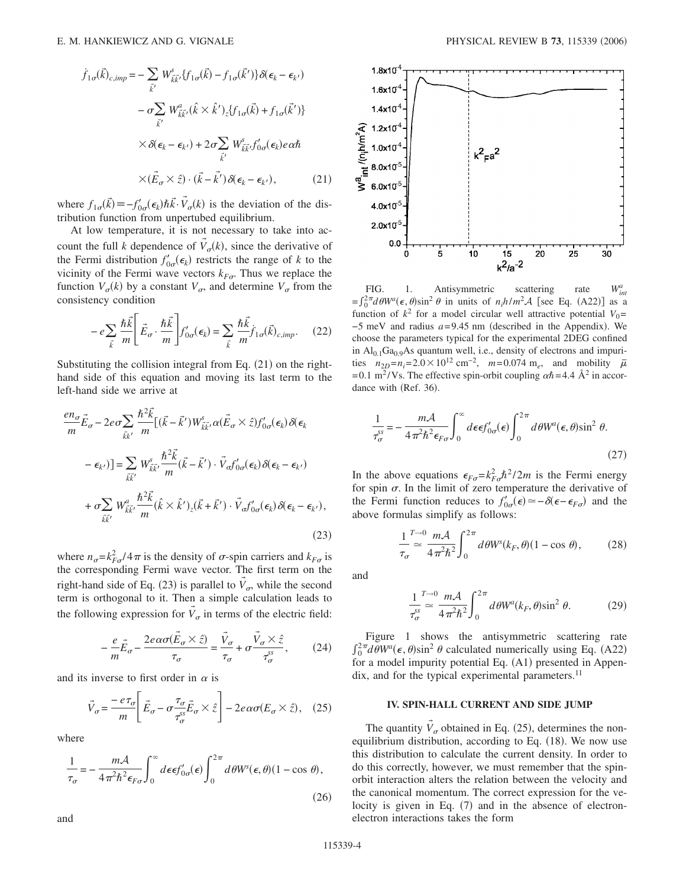$$
\dot{f}_{1\sigma}(\vec{k})_{c,imp} = -\sum_{\vec{k}'} W_{\vec{k}\vec{k}'}^s \{f_{1\sigma}(\vec{k}) - f_{1\sigma}(\vec{k}')\} \delta(\epsilon_k - \epsilon_{k'})
$$

$$
- \sigma \sum_{\vec{k}'} W_{\vec{k}\vec{k}'}^a(\hat{k} \times \hat{k}')_z \{f_{1\sigma}(\vec{k}) + f_{1\sigma}(\vec{k}')\}
$$

$$
\times \delta(\epsilon_k - \epsilon_{k'}) + 2\sigma \sum_{\vec{k}'} W_{\vec{k}\vec{k}'}^s f'_{0\sigma}(\epsilon_k) e \alpha \hbar
$$

$$
\times (\vec{E}_{\sigma} \times \hat{z}) \cdot (\vec{k} - \vec{k}') \delta(\epsilon_k - \epsilon_{k'}), \qquad (21)
$$

where  $f_{1\sigma}(\vec{k}) \equiv -f'_{0\sigma}(\epsilon_k) \hbar \vec{k} \cdot \vec{V}_{\sigma}(k)$  is the deviation of the distribution function from unpertubed equilibrium.

At low temperature, it is not necessary to take into account the full *k* dependence of  $\vec{V}_{\sigma}(k)$ , since the derivative of the Fermi distribution  $f'_{0\sigma}(\epsilon_k)$  restricts the range of *k* to the vicinity of the Fermi wave vectors  $k_{F\sigma}$ . Thus we replace the function  $V_{\sigma}(k)$  by a constant  $V_{\sigma}$ , and determine  $V_{\sigma}$  from the consistency condition

$$
-e\sum_{\vec{k}}\frac{\hbar\vec{k}}{m}\left[\vec{E}_{\sigma}\cdot\frac{\hbar\vec{k}}{m}\right]f'_{0\sigma}(\epsilon_{\vec{k}}) = \sum_{\vec{k}}\frac{\hbar\vec{k}}{m}\dot{f}_{1\sigma}(\vec{k})_{c,imp}.
$$
 (22)

Substituting the collision integral from Eq.  $(21)$  on the righthand side of this equation and moving its last term to the left-hand side we arrive at

$$
\frac{en_{\sigma}}{m}\vec{E}_{\sigma} - 2e\sigma \sum_{\vec{k}k'} \frac{\hbar^2 \vec{k}}{m} [(\vec{k} - \vec{k}')W_{\vec{k}\vec{k}}^s, \alpha(\vec{E}_{\sigma} \times \hat{z})f'_{0\sigma}(\epsilon_k)\delta(\epsilon_k)
$$

$$
- \epsilon_{k'})] = \sum_{\vec{k}\vec{k}'} W_{\vec{k}\vec{k}'}^s \frac{\hbar^2 \vec{k}}{m} (\vec{k} - \vec{k}') \cdot \vec{V}_{\sigma} f'_{0\sigma}(\epsilon_k)\delta(\epsilon_k - \epsilon_{k'})
$$

$$
+ \sigma \sum_{\vec{k}\vec{k}'} W_{\vec{k}\vec{k}'}^a \frac{\hbar^2 \vec{k}}{m} (\hat{k} \times \hat{k}')_{z} (\vec{k} + \vec{k}') \cdot \vec{V}_{\sigma} f'_{0\sigma}(\epsilon_k)\delta(\epsilon_k - \epsilon_{k'}),
$$
(23)

where  $n_{\sigma} = k_{F\sigma}^2 / 4\pi$  is the density of  $\sigma$ -spin carriers and  $k_{F\sigma}$  is the corresponding Fermi wave vector. The first term on the right-hand side of Eq. (23) is parallel to  $\vec{V}_\sigma$ , while the second term is orthogonal to it. Then a simple calculation leads to the following expression for  $\vec{V}_{\sigma}$  in terms of the electric field:

$$
-\frac{e}{m}\vec{E}_{\sigma} - \frac{2e\alpha\sigma(\vec{E}_{\sigma} \times \hat{z})}{\tau_{\sigma}} = \frac{\vec{V}_{\sigma}}{\tau_{\sigma}} + \sigma \frac{\vec{V}_{\sigma} \times \hat{z}}{\tau_{\sigma}^{ss}},
$$
(24)

and its inverse to first order in  $\alpha$  is

$$
\vec{V}_{\sigma} = \frac{-e\tau_{\sigma}}{m} \left[ \vec{E}_{\sigma} - \sigma \frac{\tau_{\sigma}}{\tau_{\sigma}^{ss}} \vec{E}_{\sigma} \times \hat{z} \right] - 2e\alpha\sigma (E_{\sigma} \times \hat{z}), \quad (25)
$$

where

$$
\frac{1}{\tau_{\sigma}} = -\frac{m\mathcal{A}}{4\pi^2\hbar^2\epsilon_{F\sigma}} \int_0^{\infty} d\epsilon \epsilon f'_{0\sigma}(\epsilon) \int_0^{2\pi} d\theta W^s(\epsilon, \theta) (1 - \cos \theta),
$$
\n(26)



FIG. 1. Antisymmetric scattering rate  $W_{int}^a$  $=\int_0^{2\pi} d\theta W^a(\epsilon, \theta) \sin^2 \theta$  in units of *n<sub>i</sub>h/m*<sup>2</sup>A [see Eq. (A22)] as a function of  $k^2$  for a model circular well attractive potential  $V_0$ =  $-5$  meV and radius  $a=9.45$  nm (described in the Appendix). We choose the parameters typical for the experimental 2DEG confined in  $Al<sub>0.1</sub>Ga<sub>0.9</sub>As quantum well, i.e., density of electrons and impuri$ ties  $n_{2D} = n_i = 2.0 \times 10^{12} \text{ cm}^{-2}$ ,  $m = 0.074 \text{ m}_e$ , and mobility  $\bar{\mu}$ = 0.1 m<sup>2</sup>/Vs. The effective spin-orbit coupling  $\alpha \hbar = 4.4$   $\rm \AA^2$  in accordance with (Ref. 36).

$$
\frac{1}{\tau_{\sigma}^{ss}} = -\frac{m\mathcal{A}}{4\pi^2\hbar^2\epsilon_{F\sigma}} \int_0^\infty d\epsilon \epsilon f_{0\sigma}'(\epsilon) \int_0^{2\pi} d\theta W^a(\epsilon, \theta) \sin^2 \theta.
$$
\n(27)

In the above equations  $\epsilon_{F\sigma} = k_F^2 \hbar^2 / 2m$  is the Fermi energy for spin  $\sigma$ . In the limit of zero temperature the derivative of the Fermi function reduces to  $f'_{0\sigma}(\epsilon) \approx -\delta(\epsilon - \epsilon_{F\sigma})$  and the above formulas simplify as follows:

$$
\frac{1}{\tau_{\sigma}} \sum_{i=1}^{T \to 0} \frac{m\mathcal{A}}{4\pi^2 \hbar^2} \int_0^{2\pi} d\theta W^s(k_F, \theta) (1 - \cos \theta), \tag{28}
$$

and

$$
\frac{1}{\tau_{\sigma}^{ss}} \stackrel{T \to 0}{=} \frac{m\mathcal{A}}{4\pi^2 \hbar^2} \int_0^{2\pi} d\theta W^a(k_F, \theta) \sin^2 \theta. \tag{29}
$$

Figure 1 shows the antisymmetric scattering rate  $\int_0^{2\pi} d\theta W^a(\epsilon, \theta) \sin^2 \theta$  calculated numerically using Eq. (A22) for a model impurity potential Eq. (A1) presented in Appen $d$ ix, and for the typical experimental parameters.<sup>11</sup>

# **IV. SPIN-HALL CURRENT AND SIDE JUMP**

The quantity  $\vec{V}_{\sigma}$  obtained in Eq. (25), determines the nonequilibrium distribution, according to Eq. (18). We now use this distribution to calculate the current density. In order to do this correctly, however, we must remember that the spinorbit interaction alters the relation between the velocity and the canonical momentum. The correct expression for the velocity is given in Eq. (7) and in the absence of electronelectron interactions takes the form

and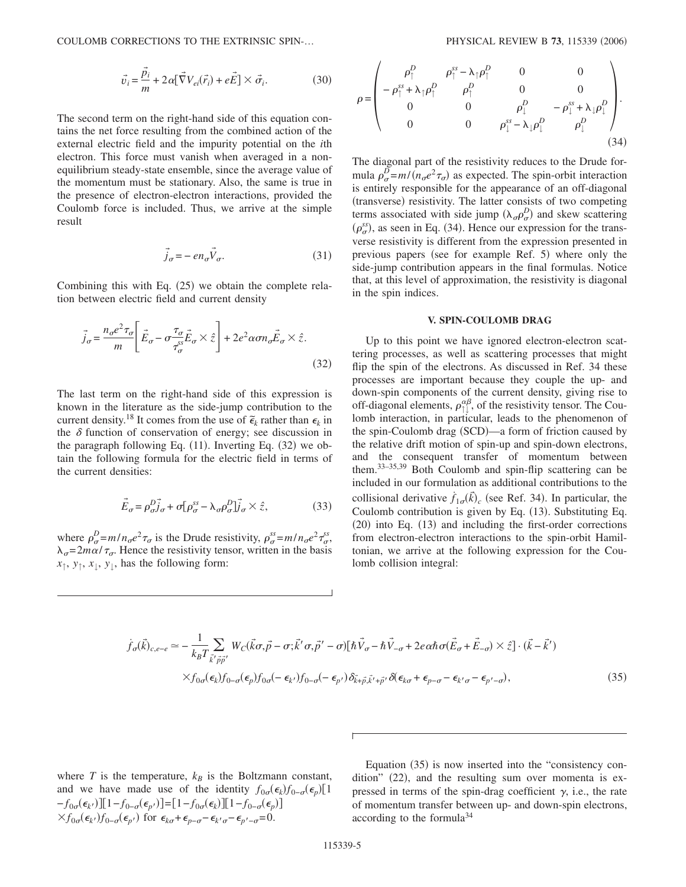COULOMB CORRECTIONS TO THE EXTRINSIC SPIN-...

$$
\vec{v}_i = \frac{\vec{p}_i}{m} + 2\alpha[\vec{\nabla}V_{ei}(\vec{r}_i) + \vec{eE}] \times \vec{\sigma}_i.
$$
 (30)

The second term on the right-hand side of this equation contains the net force resulting from the combined action of the external electric field and the impurity potential on the *i*th electron. This force must vanish when averaged in a nonequilibrium steady-state ensemble, since the average value of the momentum must be stationary. Also, the same is true in the presence of electron-electron interactions, provided the Coulomb force is included. Thus, we arrive at the simple result

$$
\vec{j}_{\sigma} = -en_{\sigma}\vec{V}_{\sigma}.
$$
\n(31)

Combining this with Eq.  $(25)$  we obtain the complete relation between electric field and current density

$$
\vec{j}_{\sigma} = \frac{n_{\sigma}e^2 \tau_{\sigma}}{m} \left[ \vec{E}_{\sigma} - \sigma \frac{\tau_{\sigma}}{\tau_{\sigma}^{ss}} \vec{E}_{\sigma} \times \hat{z} \right] + 2e^2 \alpha \sigma n_{\sigma} \vec{E}_{\sigma} \times \hat{z}.
$$
\n(32)

The last term on the right-hand side of this expression is known in the literature as the side-jump contribution to the current density.<sup>18</sup> It comes from the use of  $\tilde{\epsilon}_k$  rather than  $\epsilon_k$  in the  $\delta$  function of conservation of energy; see discussion in the paragraph following Eq.  $(11)$ . Inverting Eq.  $(32)$  we obtain the following formula for the electric field in terms of the current densities:

$$
\vec{E}_{\sigma} = \rho_{\sigma}^{D} \vec{j}_{\sigma} + \sigma [\rho_{\sigma}^{ss} - \lambda_{\sigma} \rho_{\sigma}^{D}] \vec{j}_{\sigma} \times \hat{z},
$$
\n(33)

where  $\rho_{\sigma}^{D} = m/n_{\sigma}e^{2}\tau_{\sigma}$  is the Drude resistivity,  $\rho_{\sigma}^{ss} = m/n_{\sigma}e^{2}\tau_{\sigma}^{ss}$ ,  $\lambda_{\sigma} = 2m\alpha/\tau_{\sigma}$ . Hence the resistivity tensor, written in the basis  $x_{\uparrow}$ ,  $y_{\uparrow}$ ,  $x_{\downarrow}$ ,  $y_{\downarrow}$ , has the following form:

$$
\rho = \begin{pmatrix}\n\rho_1^D & \rho_1^{ss} - \lambda_1 \rho_1^D & 0 & 0 \\
-\rho_1^{ss} + \lambda_1 \rho_1^D & \rho_1^D & 0 & 0 \\
0 & 0 & \rho_1^D & -\rho_1^{ss} + \lambda_1 \rho_1^D \\
0 & 0 & \rho_1^{ss} - \lambda_1 \rho_1^D & \rho_1^D\n\end{pmatrix}.
$$
\n(34)

The diagonal part of the resistivity reduces to the Drude formula  $\rho_{\sigma}^{\overrightarrow{D}} = m/(\overrightarrow{n}_{\sigma}e^2\tau_{\sigma})$  as expected. The spin-orbit interaction is entirely responsible for the appearance of an off-diagonal (transverse) resistivity. The latter consists of two competing terms associated with side jump  $(\lambda_{\sigma} \rho_{\sigma}^D)$  and skew scattering  $(\rho_{\sigma}^{ss})$ , as seen in Eq. (34). Hence our expression for the transverse resistivity is different from the expression presented in previous papers (see for example Ref. 5) where only the side-jump contribution appears in the final formulas. Notice that, at this level of approximation, the resistivity is diagonal in the spin indices.

#### **V. SPIN-COULOMB DRAG**

Up to this point we have ignored electron-electron scattering processes, as well as scattering processes that might flip the spin of the electrons. As discussed in Ref. 34 these processes are important because they couple the up- and down-spin components of the current density, giving rise to off-diagonal elements,  $\rho_{\uparrow\downarrow}^{\alpha\beta}$ , of the resistivity tensor. The Coulomb interaction, in particular, leads to the phenomenon of the spin-Coulomb drag (SCD)—a form of friction caused by the relative drift motion of spin-up and spin-down electrons, and the consequent transfer of momentum between them.33–35,39 Both Coulomb and spin-flip scattering can be included in our formulation as additional contributions to the collisional derivative  $f_{1\sigma}(\vec{k})_c$  (see Ref. 34). In particular, the Coulomb contribution is given by Eq. (13). Substituting Eq. (20) into Eq. (13) and including the first-order corrections from electron-electron interactions to the spin-orbit Hamiltonian, we arrive at the following expression for the Coulomb collision integral:

$$
\dot{f}_{\sigma}(\vec{k})_{c,e-e} \simeq -\frac{1}{k_{B}T} \sum_{\vec{k}'\vec{p}\vec{p}'} W_{C}(\vec{k}\sigma,\vec{p}-\sigma;\vec{k}'\sigma,\vec{p}'-\sigma)[\hbar\vec{V}_{\sigma}-\hbar\vec{V}_{-\sigma}+2e\alpha\hbar\sigma(\vec{E}_{\sigma}+\vec{E}_{-\sigma})\times\hat{z}] \cdot (\vec{k}-\vec{k}')
$$
  

$$
\times f_{0\sigma}(\epsilon_{k})f_{0-\sigma}(\epsilon_{p})f_{0\sigma}(-\epsilon_{k'})f_{0-\sigma}(-\epsilon_{p'})\delta_{\vec{k}+\vec{p},\vec{k}'+\vec{p}'}\delta(\epsilon_{k\sigma}+\epsilon_{p-\sigma}-\epsilon_{k'\sigma}-\epsilon_{p'-\sigma}),
$$
\n(35)

where  $T$  is the temperature,  $k_B$  is the Boltzmann constant, and we have made use of the identity  $f_{0\sigma}(\epsilon_k) f_{0-\sigma}(\epsilon_p) [1]$  $-f_{0\sigma}(\epsilon_{k})$ ][1- $f_{0-\sigma}(\epsilon_{p})$ ]=[1- $f_{0\sigma}(\epsilon_{k})$ ][1- $f_{0-\sigma}(\epsilon_{p})$ ]  $\times f_{0\sigma}(\epsilon_{k'})f_{0-\sigma}(\epsilon_{p'})$  for  $\epsilon_{k\sigma}+\epsilon_{p-\sigma}-\epsilon_{k'\sigma}-\epsilon_{p'-\sigma}=0$ .

Equation (35) is now inserted into the "consistency condition" (22), and the resulting sum over momenta is expressed in terms of the spin-drag coefficient  $\gamma$ , i.e., the rate of momentum transfer between up- and down-spin electrons, according to the formula34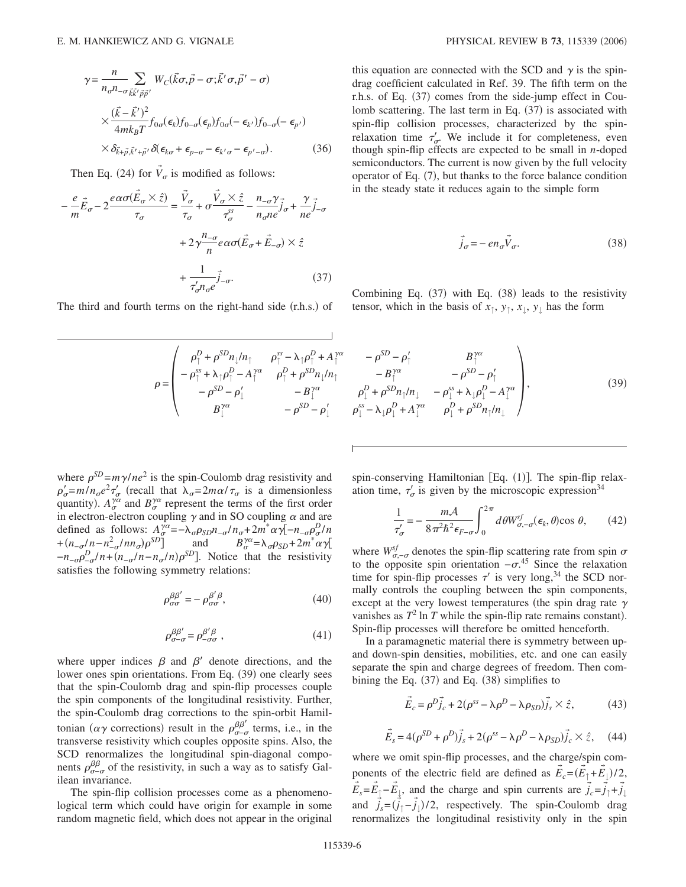$$
\gamma = \frac{n}{n_{\sigma}n_{-\sigma \vec{k}\vec{k}^{\prime} \vec{p}\vec{p}^{\prime}}} \sum_{\vec{k} \in \vec{k}} W_{C}(\vec{k}\sigma, \vec{p} - \sigma; \vec{k}^{\prime} \sigma, \vec{p}^{\prime} - \sigma)
$$
  
 
$$
\times \frac{(\vec{k} - \vec{k}^{\prime})^{2}}{4mk_{B}T} f_{0\sigma}(\epsilon_{k}) f_{0-\sigma}(\epsilon_{p}) f_{0\sigma}(-\epsilon_{k^{\prime}}) f_{0-\sigma}(-\epsilon_{p^{\prime}})
$$
  
 
$$
\times \delta_{\vec{k} + \vec{p}, \vec{k}^{\prime} + \vec{p}^{\prime}} \delta(\epsilon_{k\sigma} + \epsilon_{p-\sigma} - \epsilon_{k^{\prime} \sigma} - \epsilon_{p^{\prime} - \sigma}). \tag{36}
$$

Then Eq. (24) for  $\vec{V}_{\sigma}$  is modified as follows:

$$
-\frac{e}{m}\vec{E}_{\sigma} - 2\frac{e\alpha\sigma(\vec{E}_{\sigma} \times \hat{z})}{\tau_{\sigma}} = \frac{\vec{V}_{\sigma}}{\tau_{\sigma}} + \sigma\frac{\vec{V}_{\sigma} \times \hat{z}}{\tau_{\sigma}^{ss}} - \frac{n_{-\sigma}\gamma}{n_{\sigma}ne}j_{\sigma} + \frac{\gamma}{ne}j_{-\sigma} + 2\gamma\frac{n_{-\sigma}}{ne}\alpha\sigma(\vec{E}_{\sigma} + \vec{E}_{-\sigma}) \times \hat{z} + \frac{1}{\tau_{\sigma}^{\prime}n_{\sigma}e}j_{-\sigma}.
$$
 (37)

The third and fourth terms on the right-hand side (r.h.s.) of

$$
\rho = \begin{pmatrix}\n\rho_{\uparrow}^{D} + \rho^{SD} n_{\downarrow} / n_{\uparrow} & \rho_{\uparrow}^{ss} - \lambda_{\uparrow} \rho_{\uparrow}^{D} + A_{\uparrow}^{s\alpha} & -\rho^{SD} - \rho_{\downarrow}^{ss} \\
-\rho_{\uparrow}^{ss} + \lambda_{\uparrow} \rho_{\uparrow}^{D} - A_{\uparrow}^{s\alpha} & \rho_{\uparrow}^{D} + \rho^{SD} n_{\downarrow} / n_{\uparrow} & -B_{\uparrow}^{2} \\
-\rho^{SD} - \rho_{\downarrow}^{f} & -B_{\downarrow}^{s\alpha} & \rho_{\downarrow}^{D} + \rho^{SD} \\
B_{\downarrow}^{s\alpha} & -\rho^{SD} - \rho_{\downarrow}^{f} & \rho_{\downarrow}^{ss} - \lambda_{\downarrow} \rho_{\downarrow}^{f}\n\end{pmatrix}
$$

where  $\rho^{SD} = m\gamma/ne^2$  is the spin-Coulomb drag resistivity and  $\rho'_{\sigma} = m/n_{\sigma}e^2 \tau'_{\sigma}$  (recall that  $\lambda_{\sigma} = 2m\alpha/\tau_{\sigma}$  is a dimensionless quantity).  $A_{\sigma}^{\gamma\alpha}$  and  $B_{\sigma}^{\gamma\alpha}$  represent the terms of the first order in electron-electron coupling  $\gamma$  and in SO coupling  $\alpha$  and are defined as follows:  $A_{\sigma}^{\gamma\alpha} = -\lambda_{\sigma}\rho_{SD}n_{-\sigma}/n_{\sigma} + 2m^{*}\alpha\sqrt{1-n_{-\sigma}\rho_{\sigma}^{D}/n}$ + $(n_{-\sigma}/n - n_{-\sigma}^2/nn_{\sigma})\rho^{SD}$  and  $B_{\sigma}^{\gamma\alpha} = \lambda_{\sigma}\rho_{SD} + 2m^*\alpha\gamma$  $-n_{-\sigma} \rho_{-\sigma}^D / n + (n_{-\sigma} / n - n_{\sigma} / n) \rho^{SD}$ . Notice that the resistivity satisfies the following symmetry relations:

$$
\rho_{\sigma\sigma}^{\beta\beta'} = -\rho_{\sigma\sigma}^{\beta'\beta},\tag{40}
$$

$$
\rho_{\sigma-\sigma}^{\beta\beta'} = \rho_{-\sigma\sigma}^{\beta'\beta} \,,\tag{41}
$$

where upper indices  $\beta$  and  $\beta'$  denote directions, and the lower ones spin orientations. From Eq. (39) one clearly sees that the spin-Coulomb drag and spin-flip processes couple the spin components of the longitudinal resistivity. Further, the spin-Coulomb drag corrections to the spin-orbit Hamiltonian ( $\alpha\gamma$  corrections) result in the  $\rho_{\sigma-\sigma}^{\beta\beta'}$  terms, i.e., in the transverse resistivity which couples opposite spins. Also, the SCD renormalizes the longitudinal spin-diagonal components  $\rho_{\sigma-\sigma}^{\beta\beta}$  of the resistivity, in such a way as to satisfy Galilean invariance.

The spin-flip collision processes come as a phenomenological term which could have origin for example in some random magnetic field, which does not appear in the original this equation are connected with the SCD and  $\gamma$  is the spindrag coefficient calculated in Ref. 39. The fifth term on the r.h.s. of Eq. (37) comes from the side-jump effect in Coulomb scattering. The last term in Eq. (37) is associated with spin-flip collision processes, characterized by the spinrelaxation time  $\tau'_{\sigma}$ . We include it for completeness, even though spin-flip effects are expected to be small in *n*-doped semiconductors. The current is now given by the full velocity operator of Eq. (7), but thanks to the force balance condition in the steady state it reduces again to the simple form

$$
\vec{j}_{\sigma} = -\operatorname{en}_{\sigma} \vec{V}_{\sigma}.\tag{38}
$$

Combining Eq. (37) with Eq. (38) leads to the resistivity tensor, which in the basis of  $x_{\uparrow}$ ,  $y_{\uparrow}$ ,  $x_{\downarrow}$ ,  $y_{\downarrow}$  has the form

$$
\begin{pmatrix}\n\gamma^{\alpha} & -\rho^{SD} - \rho'_{\uparrow} & B^{\gamma\alpha}_{\uparrow} \\
\uparrow & -B^{\gamma\alpha}_{\uparrow} & -\rho^{SD} - \rho'_{\uparrow} \\
\rho_{\downarrow}^{D} + \rho^{SD} n_{\uparrow} / n_{\downarrow} & -\rho_{\downarrow}^{SS} + \lambda_{\downarrow} \rho_{\downarrow}^{D} - A^{\gamma\alpha}_{\downarrow} \\
\rho_{\downarrow}^{ss} - \lambda_{\downarrow} \rho_{\downarrow}^{D} + A^{\gamma\alpha}_{\downarrow} & \rho_{\downarrow}^{D} + \rho^{SD} n_{\uparrow} / n_{\downarrow}\n\end{pmatrix},
$$
\n(39)

spin-conserving Hamiltonian [Eq. (1)]. The spin-flip relaxation time,  $\tau'_\text{g}$  is given by the microscopic expression<sup>34</sup>

$$
\frac{1}{\tau'_{\sigma}} = -\frac{m\mathcal{A}}{8\pi^2\hbar^2\epsilon_{F-\sigma}} \int_0^{2\pi} d\theta W_{\sigma,-\sigma}^{\text{sf}}(\epsilon_k, \theta) \cos \theta, \qquad (42)
$$

where  $W_{\sigma,-\sigma}^{sf}$  denotes the spin-flip scattering rate from spin  $\sigma$ to the opposite spin orientation  $-\sigma^{.45}$  Since the relaxation time for spin-flip processes  $\tau'$  is very long,<sup>34</sup> the SCD normally controls the coupling between the spin components, except at the very lowest temperatures (the spin drag rate  $\gamma$ vanishes as  $T^2 \ln T$  while the spin-flip rate remains constant). Spin-flip processes will therefore be omitted henceforth.

In a paramagnetic material there is symmetry between upand down-spin densities, mobilities, etc. and one can easily separate the spin and charge degrees of freedom. Then combining the Eq.  $(37)$  and Eq.  $(38)$  simplifies to

$$
\vec{E}_c = \rho^D \vec{j}_c + 2(\rho^{ss} - \lambda \rho^D - \lambda \rho_{SD}) \vec{j}_s \times \hat{z},\tag{43}
$$

$$
\vec{E}_s = 4(\rho^{SD} + \rho^D)\vec{j}_s + 2(\rho^{ss} - \lambda \rho^D - \lambda \rho_{SD})\vec{j}_c \times \hat{z}, \quad (44)
$$

where we omit spin-flip processes, and the charge/spin components of the electric field are defined as  $\vec{E}_c = (\vec{E}_{\uparrow} + \vec{E}_{\downarrow})/2$ ,  $\vec{E}_s = \vec{E}_\perp - \vec{E}_\perp$ , and the charge and spin currents are  $\vec{j}_c = \vec{j}_\uparrow + \vec{j}_\perp$ ↓ and  $\vec{j}_s = (\vec{j}_\uparrow - \vec{j}_\downarrow)/2$ , respectively. The spin-Coulomb drag renormalizes the longitudinal resistivity only in the spin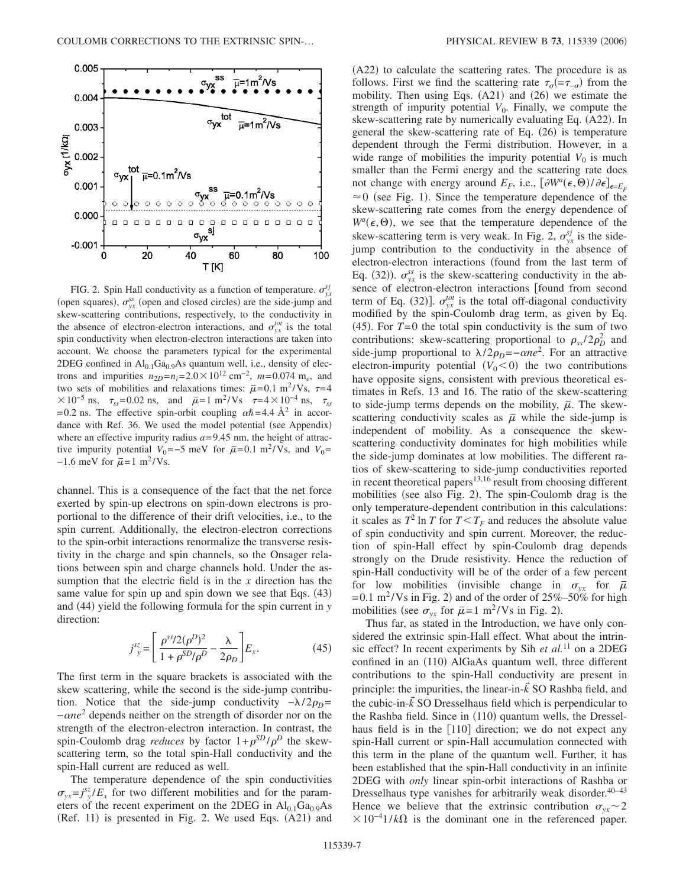

FIG. 2. Spin Hall conductivity as a function of temperature.  $\sigma_{yx}^{sj}$ (open squares),  $\sigma_{yx}^{ss}$  (open and closed circles) are the side-jump and skew-scattering contributions, respectively, to the conductivity in the absence of electron-electron interactions, and  $\sigma_{yx}^{tot}$  is the total spin conductivity when electron-electron interactions are taken into account. We choose the parameters typical for the experimental 2DEG confined in  $Al<sub>0.1</sub>Ga<sub>0.9</sub>As quantum well, i.e., density of elec$ trons and impurities  $n_{2D} = n_i = 2.0 \times 10^{12} \text{ cm}^{-2}$ ,  $m = 0.074 \text{ m}_e$ , and two sets of mobilities and relaxations times:  $\bar{\mu}$ =0.1 m<sup>2</sup>/Vs,  $\tau$ =4  $× 10^{-5}$  ns,  $\tau_{ss}$ =0.02 ns, and  $\bar{\mu}$ =1 m<sup>2</sup>/Vs  $\tau$ =4×10<sup>-4</sup> ns,  $\tau_{ss}$ = 0.2 ns. The effective spin-orbit coupling  $\alpha \hbar = 4.4 \text{ Å}^2$  in accordance with Ref. 36. We used the model potential (see Appendix) where an effective impurity radius  $a = 9.45$  nm, the height of attractive impurity potential  $V_0$ =−5 meV for  $\bar{\mu}$ =0.1 m<sup>2</sup>/Vs, and  $V_0$ =  $-1.6$  meV for  $\bar{\mu}$ =1 m<sup>2</sup>/Vs.

channel. This is a consequence of the fact that the net force exerted by spin-up electrons on spin-down electrons is proportional to the difference of their drift velocities, i.e., to the spin current. Additionally, the electron-electron corrections to the spin-orbit interactions renormalize the transverse resistivity in the charge and spin channels, so the Onsager relations between spin and charge channels hold. Under the assumption that the electric field is in the *x* direction has the same value for spin up and spin down we see that Eqs. (43) and (44) yield the following formula for the spin current in *y* direction:

$$
j_{y}^{sz} = \left[\frac{\rho^{ss}/2(\rho^{D})^2}{1+\rho^{SD}/\rho^{D}} - \frac{\lambda}{2\rho_{D}}\right]E_{x}.
$$
 (45)

The first term in the square brackets is associated with the skew scattering, while the second is the side-jump contribution. Notice that the side-jump conductivity  $-\lambda/2\rho_D =$ −*ne*<sup>2</sup> depends neither on the strength of disorder nor on the strength of the electron-electron interaction. In contrast, the spin-Coulomb drag *reduces* by factor  $1+\rho^{SD}/\rho^{D}$  the skewscattering term, so the total spin-Hall conductivity and the spin-Hall current are reduced as well.

The temperature dependence of the spin conductivities  $\sigma_{yx} = j^{sz}/E_x$  for two different mobilities and for the parameters of the recent experiment on the 2DEG in  $Al_{0.1}Ga_{0.9}As$ (Ref. 11) is presented in Fig. 2. We used Eqs. (A21) and

(A22) to calculate the scattering rates. The procedure is as follows. First we find the scattering rate  $\tau_{\sigma} = -\tau_{-\sigma}$  from the mobility. Then using Eqs.  $(A21)$  and  $(26)$  we estimate the strength of impurity potential  $V_0$ . Finally, we compute the skew-scattering rate by numerically evaluating Eq. (A22). In general the skew-scattering rate of Eq. (26) is temperature dependent through the Fermi distribution. However, in a wide range of mobilities the impurity potential  $V_0$  is much smaller than the Fermi energy and the scattering rate does not change with energy around  $E_F$ , i.e.,  $\left[\partial W^a(\epsilon, \Theta) / \partial \epsilon\right]_{\epsilon=E_F}$  $\approx 0$  (see Fig. 1). Since the temperature dependence of the skew-scattering rate comes from the energy dependence of  $W^a(\epsilon, \Theta)$ , we see that the temperature dependence of the skew-scattering term is very weak. In Fig. 2,  $\sigma_{yx}^{sj}$  is the sidejump contribution to the conductivity in the absence of electron-electron interactions (found from the last term of Eq. (32)).  $\sigma_{yx}^{ss}$  is the skew-scattering conductivity in the absence of electron-electron interactions [found from second term of Eq. (32)].  $\sigma_{yx}^{tot}$  is the total off-diagonal conductivity modified by the spin-Coulomb drag term, as given by Eq.  $(45)$ . For  $T=0$  the total spin conductivity is the sum of two contributions: skew-scattering proportional to  $\rho_{ss}/2\rho_D^2$  and side-jump proportional to  $\lambda/2\rho_D = -\alpha n e^2$ . For an attractive electron-impurity potential  $(V_0 < 0)$  the two contributions have opposite signs, consistent with previous theoretical estimates in Refs. 13 and 16. The ratio of the skew-scattering to side-jump terms depends on the mobility,  $\bar{\mu}$ . The skewscattering conductivity scales as  $\bar{\mu}$  while the side-jump is independent of mobility. As a consequence the skewscattering conductivity dominates for high mobilities while the side-jump dominates at low mobilities. The different ratios of skew-scattering to side-jump conductivities reported in recent theoretical papers $13,16$  result from choosing different mobilities (see also Fig. 2). The spin-Coulomb drag is the only temperature-dependent contribution in this calculations: it scales as  $T^2 \ln T$  for  $T < T_F$  and reduces the absolute value of spin conductivity and spin current. Moreover, the reduction of spin-Hall effect by spin-Coulomb drag depends strongly on the Drude resistivity. Hence the reduction of spin-Hall conductivity will be of the order of a few percent for low mobilities (invisible change in  $\sigma_{yx}$  for  $\bar{\mu}$  $= 0.1$  m<sup>2</sup>/Vs in Fig. 2) and of the order of 25%–50% for high mobilities (see  $\sigma_{yx}$  for  $\bar{\mu}$ =1 m<sup>2</sup>/Vs in Fig. 2).

Thus far, as stated in the Introduction, we have only considered the extrinsic spin-Hall effect. What about the intrinsic effect? In recent experiments by Sih *et al.*<sup>11</sup> on a 2DEG confined in an (110) AlGaAs quantum well, three different contributions to the spin-Hall conductivity are present in principle: the impurities, the linear-in-*k* SO Rashba field, and the cubic-in- $\vec{k}$  SO Dresselhaus field which is perpendicular to the Rashba field. Since in (110) quantum wells, the Dresselhaus field is in the  $[110]$  direction; we do not expect any spin-Hall current or spin-Hall accumulation connected with this term in the plane of the quantum well. Further, it has been established that the spin-Hall conductivity in an infinite 2DEG with *only* linear spin-orbit interactions of Rashba or Dresselhaus type vanishes for arbitrarily weak disorder. $40-43$ Hence we believe that the extrinsic contribution  $\sigma_{vr} \sim 2$  $\times 10^{-4}$ 1/*k* $\Omega$  is the dominant one in the referenced paper.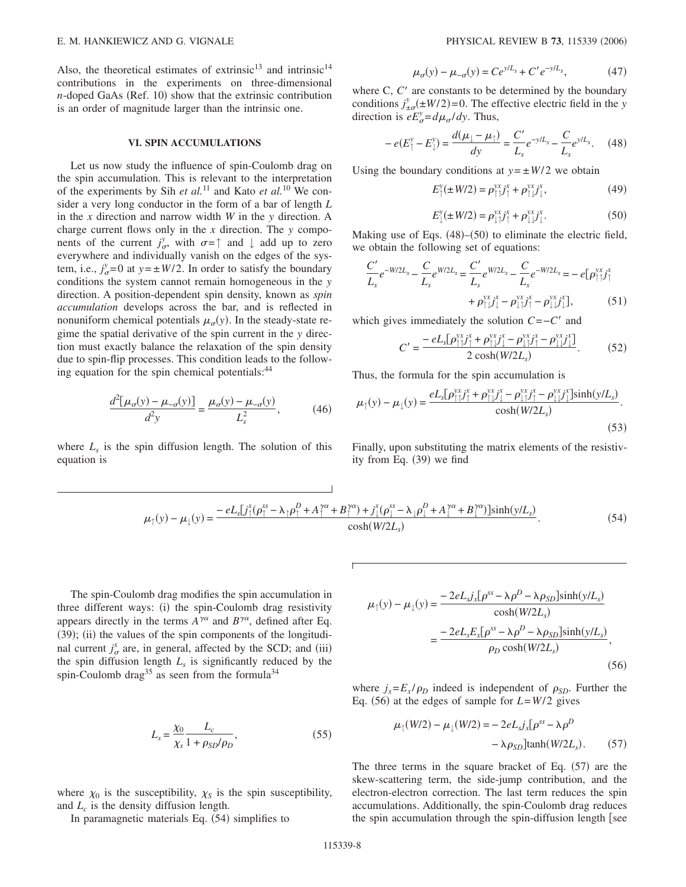Also, the theoretical estimates of extrinsic<sup>13</sup> and intrinsic<sup>14</sup> contributions in the experiments on three-dimensional *n*-doped GaAs (Ref. 10) show that the extrinsic contribution is an order of magnitude larger than the intrinsic one.

## **VI. SPIN ACCUMULATIONS**

Let us now study the influence of spin-Coulomb drag on the spin accumulation. This is relevant to the interpretation of the experiments by Sih *et al.*<sup>11</sup> and Kato *et al.*<sup>10</sup> We consider a very long conductor in the form of a bar of length *L* in the *x* direction and narrow width *W* in the *y* direction. A charge current flows only in the *x* direction. The *y* components of the current  $j^y_{\sigma}$ , with  $\sigma = \uparrow$  and  $\downarrow$  add up to zero everywhere and individually vanish on the edges of the system, i.e.,  $j_{\sigma}^y = 0$  at  $y = \pm W/2$ . In order to satisfy the boundary conditions the system cannot remain homogeneous in the *y* direction. A position-dependent spin density, known as *spin accumulation* develops across the bar, and is reflected in nonuniform chemical potentials  $\mu_{\sigma}(y)$ . In the steady-state regime the spatial derivative of the spin current in the *y* direction must exactly balance the relaxation of the spin density due to spin-flip processes. This condition leads to the following equation for the spin chemical potentials:<sup>44</sup>

$$
\frac{d^2[\mu_{\sigma}(y) - \mu_{-\sigma}(y)]}{d^2 y} = \frac{\mu_{\sigma}(y) - \mu_{-\sigma}(y)}{L_s^2},
$$
(46)

where  $L<sub>s</sub>$  is the spin diffusion length. The solution of this equation is

$$
\mu_{\sigma}(y) - \mu_{-\sigma}(y) = Ce^{y/L_s} + C' e^{-y/L_s}, \tag{47}
$$

where  $C, C'$  are constants to be determined by the boundary conditions  $j^y_{\pm\sigma}(\pm W/2) = 0$ . The effective electric field in the *y* direction is  $eE^y_{\sigma} = d\mu_{\sigma}/dy$ . Thus,

$$
-e(E_{\uparrow}^{\nu} - E_{\downarrow}^{\nu}) = \frac{d(\mu_{\downarrow} - \mu_{\uparrow})}{dy} = \frac{C'}{L_s}e^{-y/L_s} - \frac{C}{L_s}e^{y/L_s}.
$$
 (48)

Using the boundary conditions at  $y = \pm W/2$  we obtain

 $\mu$ 

$$
E_{\uparrow}^{y}(\pm W/2) = \rho_{\uparrow\uparrow}^{yx} j_{\uparrow}^{x} + \rho_{\uparrow\downarrow}^{yx} j_{\downarrow}^{x},
$$
\n(49)

$$
E_{\downarrow}^{y}(\pm W/2) = \rho_{\downarrow\uparrow}^{yx} j_{\uparrow}^{x} + \rho_{\downarrow\downarrow}^{yx} j_{\downarrow}^{x}.
$$
 (50)

Making use of Eqs. (48)–(50) to eliminate the electric field, we obtain the following set of equations:

$$
\frac{C'}{L_s}e^{-W/2L_s} - \frac{C}{L_s}e^{W/2L_s} = \frac{C'}{L_s}e^{W/2L_s} - \frac{C}{L_s}e^{-W/2L_s} = -e[\rho_{\uparrow\uparrow}^{yx}j_{\uparrow}^x + \rho_{\uparrow\downarrow}^{yx}j_{\downarrow}^x - \rho_{\downarrow\downarrow}^{yx}j_{\uparrow}^x - \rho_{\downarrow\downarrow}^{yx}j_{\downarrow}^x],
$$
 (51)

which gives immediately the solution *C*=−*C* and

$$
C' = \frac{-eL_s[\rho_{\uparrow\downarrow}^{yx}j_{\uparrow}^x + \rho_{\uparrow\downarrow}^{yx}j_{\downarrow}^x - \rho_{\downarrow\downarrow}^{yx}j_{\uparrow}^x - \rho_{\downarrow\downarrow}^{yx}j_{\downarrow\downarrow}^x]}{2\cosh(W/2L_s)}.
$$
 (52)

Thus, the formula for the spin accumulation is

$$
\mu_{\uparrow}(y) - \mu_{\downarrow}(y) = \frac{eL_s[\rho_{\uparrow\uparrow}^{yx}j_{\uparrow}^x + \rho_{\uparrow\downarrow}^{yx}j_{\downarrow}^x - \rho_{\downarrow\uparrow}^{yx}j_{\uparrow}^x - \rho_{\downarrow\downarrow}^{yx}j_{\downarrow}^x]\sinh(y/L_s)}{\cosh(W/2L_s)}.
$$
\n(53)

Finally, upon substituting the matrix elements of the resistivity from Eq.  $(39)$  we find

$$
\mu_{\uparrow}(y) - \mu_{\downarrow}(y) = \frac{-eL_s[j_{\uparrow}^x(\rho_{\uparrow}^{ss} - \lambda_{\uparrow}\rho_{\uparrow}^D + A_{\uparrow}^{ya} + B_{\uparrow}^{ya}) + j_{\downarrow}^x(\rho_{\downarrow}^{ss} - \lambda_{\downarrow}\rho_{\downarrow}^D + A_{\downarrow}^{ya} + B_{\downarrow}^{ya})]\sinh(y/L_s)}{\cosh(W/2L_s)}.
$$
\n(54)

The spin-Coulomb drag modifies the spin accumulation in three different ways: (i) the spin-Coulomb drag resistivity appears directly in the terms  $A^{\gamma\alpha}$  and  $B^{\gamma\alpha}$ , defined after Eq. (39); (ii) the values of the spin components of the longitudinal current  $j^x_{\sigma}$  are, in general, affected by the SCD; and (iii) the spin diffusion length  $L<sub>s</sub>$  is significantly reduced by the spin-Coulomb drag<sup>35</sup> as seen from the formula<sup>34</sup>

$$
L_s = \frac{\chi_0}{\chi_s} \frac{L_c}{1 + \rho_{SD}/\rho_D},\tag{55}
$$

where  $\chi_0$  is the susceptibility,  $\chi_s$  is the spin susceptibility, and  $L_c$  is the density diffusion length.

In paramagnetic materials Eq. (54) simplifies to

$$
\mu_{\uparrow}(y) - \mu_{\downarrow}(y) = \frac{-2eL_s j_x[\rho^{ss} - \lambda \rho^D - \lambda \rho_{SD}] \sinh(y/L_s)}{\cosh(W/2L_s)}
$$

$$
= \frac{-2eL_s E_x[\rho^{ss} - \lambda \rho^D - \lambda \rho_{SD}] \sinh(y/L_s)}{\rho_D \cosh(W/2L_s)},
$$
(56)

where  $j_x = E_x / \rho_D$  indeed is independent of  $\rho_{SD}$ . Further the Eq. (56) at the edges of sample for  $L=$  *W*/2 gives

$$
\mu_{\uparrow}(W/2) - \mu_{\downarrow}(W/2) = -2eL_s j_x[\rho^{ss} - \lambda \rho^D
$$

$$
-\lambda \rho_{SD}] \tanh(W/2L_s). \qquad (57)
$$

The three terms in the square bracket of Eq.  $(57)$  are the skew-scattering term, the side-jump contribution, and the electron-electron correction. The last term reduces the spin accumulations. Additionally, the spin-Coulomb drag reduces the spin accumulation through the spin-diffusion length  $\lceil$  see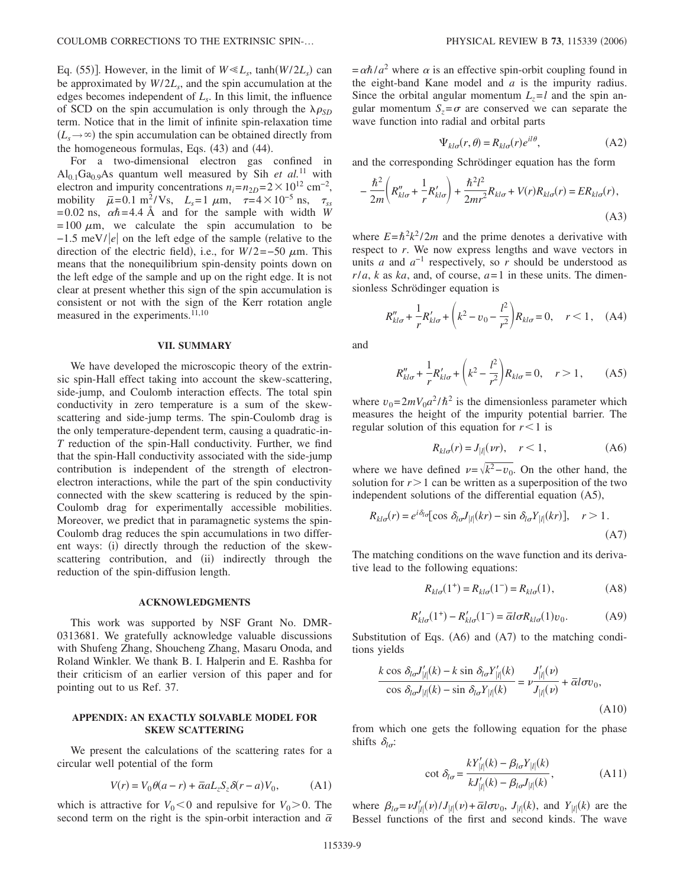Eq. (55)]. However, in the limit of  $W \ll L_s$ , tanh $(W/2L_s)$  can be approximated by  $W/2L_s$ , and the spin accumulation at the edges becomes independent of  $L<sub>s</sub>$ . In this limit, the influence of SCD on the spin accumulation is only through the  $\lambda \rho_{SD}$ term. Notice that in the limit of infinite spin-relaxation time  $(L_s \rightarrow \infty)$  the spin accumulation can be obtained directly from the homogeneous formulas, Eqs. (43) and (44).

For a two-dimensional electron gas confined in  $Al<sub>0.1</sub>Ga<sub>0.9</sub>As quantum well measured by Sih *et al.*<sup>11</sup> with$ electron and impurity concentrations  $n_i = n_{2D} = 2 \times 10^{12}$  cm<sup>-2</sup>, mobility  $\bar{\mu} = 0.1 \text{ m}^2/\text{Vs}, L_s = 1 \mu \text{m}, \tau = 4 \times 10^{-5} \text{ ns}, \tau_{ss}$  $= 0.02$  ns,  $\alpha \hbar = 4.4$  Å and for the sample with width *W*  $= 100 \mu m$ , we calculate the spin accumulation to be −1.5 meV/|e| on the left edge of the sample (relative to the direction of the electric field), i.e., for  $W/2 = -50 \mu$ m. This means that the nonequilibrium spin-density points down on the left edge of the sample and up on the right edge. It is not clear at present whether this sign of the spin accumulation is consistent or not with the sign of the Kerr rotation angle measured in the experiments. $\overline{11,10}$ 

### **VII. SUMMARY**

We have developed the microscopic theory of the extrinsic spin-Hall effect taking into account the skew-scattering, side-jump, and Coulomb interaction effects. The total spin conductivity in zero temperature is a sum of the skewscattering and side-jump terms. The spin-Coulomb drag is the only temperature-dependent term, causing a quadratic-in-*T* reduction of the spin-Hall conductivity. Further, we find that the spin-Hall conductivity associated with the side-jump contribution is independent of the strength of electronelectron interactions, while the part of the spin conductivity connected with the skew scattering is reduced by the spin-Coulomb drag for experimentally accessible mobilities. Moreover, we predict that in paramagnetic systems the spin-Coulomb drag reduces the spin accumulations in two different ways: (i) directly through the reduction of the skewscattering contribution, and (ii) indirectly through the reduction of the spin-diffusion length.

#### **ACKNOWLEDGMENTS**

This work was supported by NSF Grant No. DMR-0313681. We gratefully acknowledge valuable discussions with Shufeng Zhang, Shoucheng Zhang, Masaru Onoda, and Roland Winkler. We thank B. I. Halperin and E. Rashba for their criticism of an earlier version of this paper and for pointing out to us Ref. 37.

## **APPENDIX: AN EXACTLY SOLVABLE MODEL FOR SKEW SCATTERING**

We present the calculations of the scattering rates for a circular well potential of the form

$$
V(r) = V_0 \theta(a - r) + \overline{\alpha} a L_z S_z \delta(r - a) V_0, \tag{A1}
$$

which is attractive for  $V_0 < 0$  and repulsive for  $V_0 > 0$ . The second term on the right is the spin-orbit interaction and  $\bar{\alpha}$ 

 $=\alpha\hbar/a^2$  where  $\alpha$  is an effective spin-orbit coupling found in the eight-band Kane model and *a* is the impurity radius. Since the orbital angular momentum  $L_z = l$  and the spin angular momentum  $S_z = \sigma$  are conserved we can separate the wave function into radial and orbital parts

$$
\Psi_{kl\sigma}(r,\theta) = R_{kl\sigma}(r)e^{il\theta},\tag{A2}
$$

and the corresponding Schrödinger equation has the form

$$
-\frac{\hbar^2}{2m}\left(R''_{kl\sigma} + \frac{1}{r}R'_{kl\sigma}\right) + \frac{\hbar^2 l^2}{2mr^2}R_{kl\sigma} + V(r)R_{kl\sigma}(r) = ER_{kl\sigma}(r),\tag{A3}
$$

where  $E = \hbar^2 k^2 / 2m$  and the prime denotes a derivative with respect to *r*. We now express lengths and wave vectors in units *a* and  $a^{-1}$  respectively, so *r* should be understood as  $r/a$ , *k* as *ka*, and, of course,  $a=1$  in these units. The dimensionless Schrödinger equation is

$$
R_{kl\sigma}'' + \frac{1}{r}R_{kl\sigma}' + \left(k^2 - \nu_0 - \frac{l^2}{r^2}\right)R_{kl\sigma} = 0, \quad r < 1, \quad (A4)
$$

and

$$
R_{kl\sigma}'' + \frac{1}{r}R_{kl\sigma}' + \left(k^2 - \frac{l^2}{r^2}\right)R_{kl\sigma} = 0, \quad r > 1,
$$
 (A5)

where  $v_0 = 2mV_0a^2/\hbar^2$  is the dimensionless parameter which measures the height of the impurity potential barrier. The regular solution of this equation for  $r<1$  is

$$
R_{kl\sigma}(r) = J_{|l|}(vr), \quad r < 1,
$$
 (A6)

where we have defined  $v=\sqrt{k^2-v_0}$ . On the other hand, the solution for  $r > 1$  can be written as a superposition of the two independent solutions of the differential equation (A5),

$$
R_{kl\sigma}(r) = e^{i\delta_{l\sigma}} [\cos \delta_{l\sigma} J_{|l|}(kr) - \sin \delta_{l\sigma} Y_{|l|}(kr)], \quad r > 1.
$$
\n(A7)

The matching conditions on the wave function and its derivative lead to the following equations:

$$
R_{kl\sigma}(1^+) = R_{kl\sigma}(1^-) = R_{kl\sigma}(1),
$$
 (A8)

$$
R'_{kl\sigma}(1^+) - R'_{kl\sigma}(1^-) = \overline{\alpha} l \sigma R_{kl\sigma}(1) v_0.
$$
 (A9)

Substitution of Eqs. (A6) and (A7) to the matching conditions yields

$$
\frac{k \cos \delta_{l\sigma} J'_{|l|}(k) - k \sin \delta_{l\sigma} Y'_{|l|}(k)}{\cos \delta_{l\sigma} J_{|l|}(k) - \sin \delta_{l\sigma} Y_{|l|}(k)} = \nu \frac{J'_{|l|}(\nu)}{J_{|l|}(\nu)} + \overline{\alpha} l \sigma \nu_0,
$$
\n(A10)

from which one gets the following equation for the phase shifts  $\delta_{l\sigma}$ :

$$
\cot \delta_{l\sigma} = \frac{kY'_{|l|}(k) - \beta_{l\sigma}Y_{|l|}(k)}{kJ'_{|l|}(k) - \beta_{l\sigma}J_{|l|}(k)},
$$
\n(A11)

where  $\beta_{l\sigma} = \nu J'_{|l|}(\nu) / J_{|l|}(\nu) + \bar{\alpha} \cdot J_{|\nu|}(\kappa)$ , and  $Y_{|l|}(\kappa)$  are the Bessel functions of the first and second kinds. The wave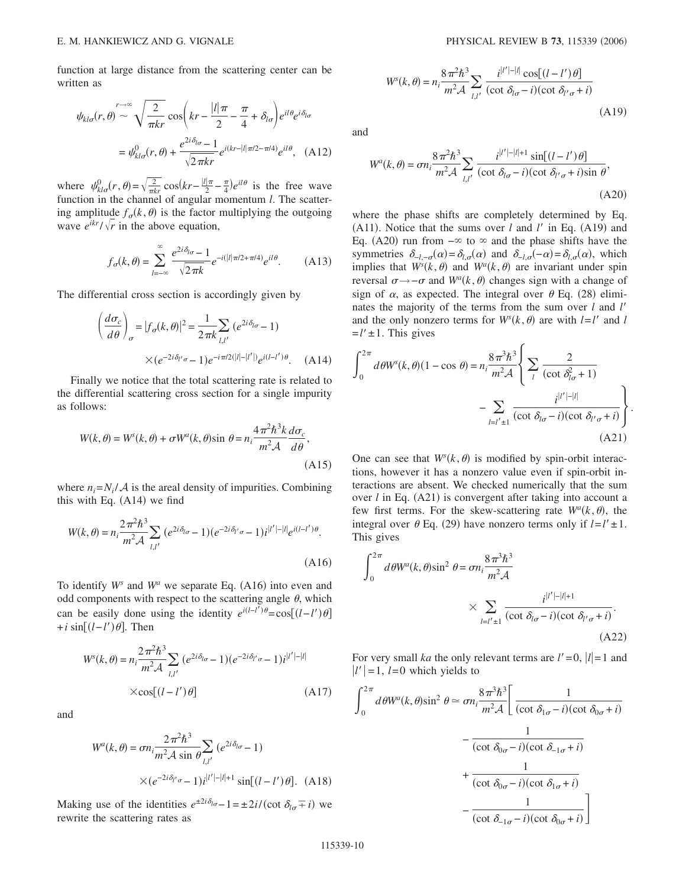function at large distance from the scattering center can be written as

$$
\psi_{kl\sigma}(r,\theta) \sim \sqrt{\frac{2}{\pi kr}} \cos\left(kr - \frac{|l|\pi}{2} - \frac{\pi}{4} + \delta_{l\sigma}\right) e^{il\theta} e^{i\delta_{l\sigma}}
$$

$$
= \psi_{kl\sigma}^{0}(r,\theta) + \frac{e^{2i\delta_{l\sigma} - 1}}{\sqrt{2\pi kr}} e^{i(kr - |l|\pi/2 - \pi/4)} e^{il\theta}, \quad (A12)
$$

where  $\psi_{kl\sigma}^{0}(r, \theta) = \sqrt{\frac{2}{\pi kr}} \cos(kr - \frac{|l|\pi}{2} - \frac{\pi}{4})e^{il\theta}$  is the free wave function in the channel of angular momentum *l*. The scattering amplitude  $f_{\sigma}(k, \theta)$  is the factor multiplying the outgoing wave  $e^{ikr}/\sqrt{r}$  in the above equation,

$$
f_{\sigma}(k,\theta) = \sum_{l=-\infty}^{\infty} \frac{e^{2i\delta_{l\sigma}} - 1}{\sqrt{2\pi k}} e^{-i(|l|\pi/2 + \pi/4)} e^{il\theta}.
$$
 (A13)

The differential cross section is accordingly given by

$$
\left(\frac{d\sigma_c}{d\theta}\right)_{\sigma} = |f_{\sigma}(k,\theta)|^2 = \frac{1}{2\pi k} \sum_{l,l'} (e^{2i\delta_{l\sigma}} - 1)
$$

$$
\times (e^{-2i\delta_{l'\sigma}} - 1) e^{-i\pi/2(|l|-|l'|)} e^{i(l-l')\theta}.
$$
 (A14)

Finally we notice that the total scattering rate is related to the differential scattering cross section for a single impurity as follows:

$$
W(k, \theta) = W^{s}(k, \theta) + \sigma W^{a}(k, \theta) \sin \theta = n_{i} \frac{4\pi^{2} \hbar^{3} k}{m^{2} \mathcal{A}} \frac{d\sigma_{c}}{d\theta},
$$
\n(A15)

where  $n_i = N_i / A$  is the areal density of impurities. Combining this with Eq.  $(A14)$  we find

$$
W(k,\theta) = n_i \frac{2\pi^2 \hbar^3}{m^2 \mathcal{A}} \sum_{l,l'} (e^{2i\delta_{l\sigma}} - 1)(e^{-2i\delta_{l'\sigma}} - 1)i^{|l'| - |l|}e^{i(l-l')\theta}.
$$
\n(A16)

To identify  $W^s$  and  $W^a$  we separate Eq. (A16) into even and odd components with respect to the scattering angle  $\theta$ , which can be easily done using the identity  $e^{i(l-l')\theta} = \cos[(l-l')\theta]$ +*i* sin*l*−*l*- . Then

$$
W^{s}(k, \theta) = n_i \frac{2\pi^2 \hbar^3}{m^2 \mathcal{A}} \sum_{l,l'} (e^{2i\delta_{l\sigma}} - 1)(e^{-2i\delta_{l'\sigma}} - 1)i^{|l'| - |l|}
$$
  
×cos[(l - l') $\theta$ ] (A17)

and

$$
W^{a}(k, \theta) = \sigma n_{i} \frac{2\pi^{2} \hbar^{3}}{m^{2} \mathcal{A} \sin \theta} \sum_{l,l'} \left( e^{2i\delta_{l\sigma}} - 1 \right)
$$

$$
\times \left( e^{-2i\delta_{l'\sigma}} - 1 \right) i^{|l'| - |l| + 1} \sin[(l - l')\theta]. \quad (A18)
$$

Making use of the identities  $e^{\pm 2i\delta_{l\sigma}} - 1 = \pm 2i/(\cot \delta_{l\sigma} \pm i)$  we rewrite the scattering rates as

$$
W^{s}(k, \theta) = n_i \frac{8 \pi^2 \hbar^3}{m^2 \mathcal{A}} \sum_{l,l'} \frac{i^{|l'| - |l|} \cos[(l - l') \theta]}{(\cot \delta_{l'\sigma} - i)(\cot \delta_{l'\sigma} + i)}
$$
(A19)

and

$$
W^{a}(k,\theta) = \sigma n_{i} \frac{8\pi^{2}\hbar^{3}}{m^{2} \mathcal{A}} \sum_{l,l'} \frac{i^{|l'| - |l| + 1} \sin[(l - l')\theta]}{(\cot \delta_{l'\sigma} - i)(\cot \delta_{l'\sigma} + i)\sin \theta},
$$
\n(A20)

where the phase shifts are completely determined by Eq. (A11). Notice that the sums over  $l$  and  $l'$  in Eq. (A19) and Eq. (A20) run from  $-\infty$  to  $\infty$  and the phase shifts have the symmetries  $\delta_{-l,-\sigma}(\alpha) = \delta_{l,\sigma}(\alpha)$  and  $\delta_{-l,\sigma}(-\alpha) = \delta_{l,\sigma}(\alpha)$ , which implies that  $W^s(k, \theta)$  and  $W^a(k, \theta)$  are invariant under spin reversal  $σ \rightarrow -σ$  and  $W^a(k, θ)$  changes sign with a change of sign of  $\alpha$ , as expected. The integral over  $\theta$  Eq. (28) eliminates the majority of the terms from the sum over *l* and *l* and the only nonzero terms for  $W^s(k, \theta)$  are with  $l = l'$  and *l*  $=l' \pm 1$ . This gives

$$
\int_0^{2\pi} d\theta W^s(k,\theta)(1-\cos\theta) = n_i \frac{8\pi^3 \hbar^3}{m^2 \mathcal{A}} \left\{ \sum_l \frac{2}{(\cot \delta_{l\sigma}^2 + 1)} - \sum_{l=l' \pm 1} \frac{i^{|l'| - |l|}}{(\cot \delta_{l\sigma} - i)(\cot \delta_{l'\sigma} + i)} \right\}.
$$
\n(A21)

One can see that  $W^s(k, \theta)$  is modified by spin-orbit interactions, however it has a nonzero value even if spin-orbit interactions are absent. We checked numerically that the sum over  $l$  in Eq.  $(A21)$  is convergent after taking into account a few first terms. For the skew-scattering rate  $W^a(k, \theta)$ , the integral over  $\theta$  Eq. (29) have nonzero terms only if  $l=l' \pm 1$ . This gives

$$
\int_0^{2\pi} d\theta W^a(k,\theta) \sin^2 \theta = \sigma n_i \frac{8\pi^3 \hbar^3}{m^2 \mathcal{A}}
$$

$$
\times \sum_{l=l'\pm 1} \frac{i^{|l'| - |l|+1}}{(\cot \delta_{l\sigma} - i)(\cot \delta_{l'\sigma} + i)}.
$$
(A22)

For very small *ka* the only relevant terms are  $l'=0, |l|=1$  and  $|l'|=1$ ,  $l=0$  which yields to

$$
\int_0^{2\pi} d\theta W^a(k,\theta) \sin^2 \theta \simeq \sigma n_i \frac{8\pi^3 \hbar^3}{m^2 \mathcal{A}} \left[ \frac{1}{(\cot \delta_{1\sigma} - i)(\cot \delta_{0\sigma} + i)} - \frac{1}{(\cot \delta_{0\sigma} - i)(\cot \delta_{-1\sigma} + i)} + \frac{1}{(\cot \delta_{0\sigma} - i)(\cot \delta_{1\sigma} + i)} - \frac{1}{(\cot \delta_{-1\sigma} - i)(\cot \delta_{0\sigma} + i)} \right]
$$